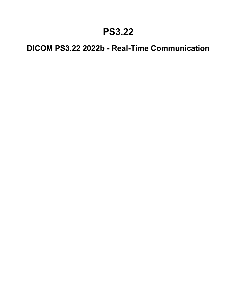### **PS3.22**

### **DICOM PS3.22 2022b - Real-Time Communication**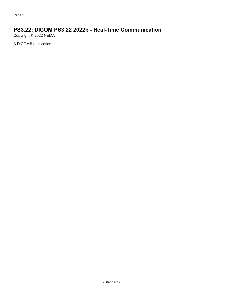### **PS3.22: DICOM PS3.22 2022b - Real-Time Communication**

Copyright © 2022 NEMA

A DICOM® publication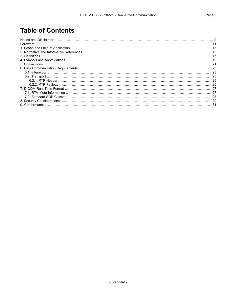### **Table of Contents**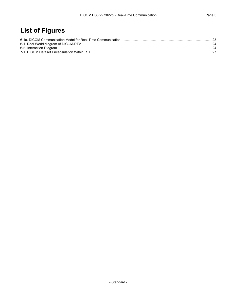### **List of Figures**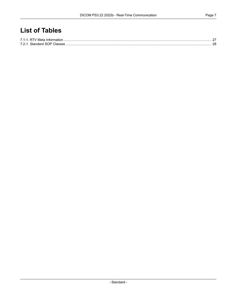### **List of Tables**

| 7.2-1 Standard SOP Classes |  |
|----------------------------|--|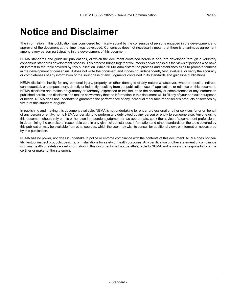### <span id="page-8-0"></span>**Notice and Disclaimer**

The information in this publication was considered technically sound by the consensus of persons engaged in the development and approval of the document at the time it was developed. Consensus does not necessarily mean that there is unanimous agreement among every person participating in the development of this document.

NEMA standards and guideline publications, of which the document contained herein is one, are developed through a voluntary consensus standards development process. This process brings together volunteers and/or seeks out the views of persons who have an interest in the topic covered by this publication. While NEMA administers the process and establishes rules to promote fairness in the development of consensus, it does not write the document and it does not independently test, evaluate, or verify the accuracy or completeness of any information or the soundness of any judgments contained in its standards and guideline publications.

NEMA disclaims liability for any personal injury, property, or other damages of any nature whatsoever, whether special, indirect, consequential, or compensatory, directly or indirectly resulting from the publication, use of, application, or reliance on this document. NEMA disclaims and makes no guaranty or warranty, expressed or implied, as to the accuracy or completeness of any information published herein, and disclaims and makes no warranty that the information in this document will fulfill any of your particular purposes or needs. NEMA does not undertake to guarantee the performance of any individual manufacturer or seller's products or services by virtue of this standard or guide.

In publishing and making this document available, NEMA is not undertaking to render professional or other services for or on behalf of any person or entity, nor is NEMA undertaking to perform any duty owed by any person or entity to someone else. Anyone using this document should rely on his or her own independent judgment or, as appropriate, seek the advice of a competent professional in determining the exercise of reasonable care in any given circumstances. Information and other standards on the topic covered by this publication may be available from other sources, which the user may wish to consult for additional views or information not covered by this publication.

NEMA has no power, nor does it undertake to police or enforce compliance with the contents of this document. NEMA does not cer tify, test, or inspect products, designs, or installations for safety or health purposes. Any certification or other statement of compliance with any health or safety-related information in this document shall not be attributable to NEMA and is solely the responsibility of the certifier or maker of the statement.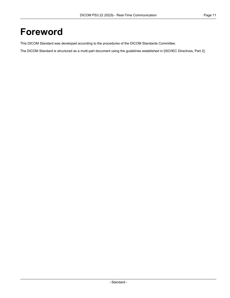### <span id="page-10-0"></span>**Foreword**

This DICOM Standard was developed according to the procedures of the DICOM Standards Committee.

The DICOM Standard is structured as a multi-part document using the guidelines established in [ISO/IEC [Directives,](#page-14-1) Part 2].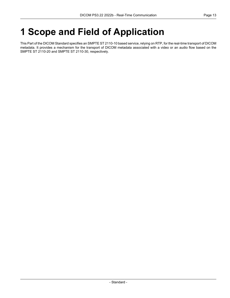# <span id="page-12-0"></span>**1 Scope and Field of Application**

This Part of the DICOM Standard specifies an SMPTE ST 2110-10 based service, relying on RTP, for the real-time transport of DICOM metadata. It provides a mechanism for the transport of DICOM metadata associated with a video or an audio flow based on the SMPTE ST 2110-20 and SMPTE ST 2110-30, respectively.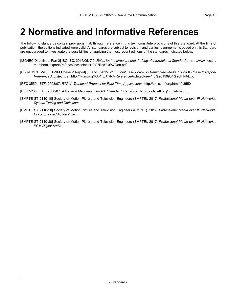### <span id="page-14-0"></span>**2 Normative and Informative References**

The following standards contain provisions that, through reference in this text, constitute provisions of this Standard. At the time of publication, the editions indicated were valid. All standards are subject to revision, and parties to agreements based on this Standard are encouraged to investigate the possibilities of applying the most recent editions of the standards indicated below.

- <span id="page-14-2"></span><span id="page-14-1"></span>[ISO/IEC Directives, Part 2] ISO/IEC. 2016/05. 7.0. *Rules for the structure and drafting of International Standards*. [http://www.iec.ch/](http://www.iec.ch/members_experts/refdocs/iec/isoiecdir-2%7Bed7.0%7Den.pdf) [members\\_experts/refdocs/iec/isoiecdir-2%7Bed7.0%7Den.pdf](http://www.iec.ch/members_experts/refdocs/iec/isoiecdir-2%7Bed7.0%7Den.pdf) .
- [EBU-SMPTE-VSF JT-NM Phase 2 Report] , , and . 2015. v1.0. *Joint Task Force on Networked Media (JT-NM) Phase 2 Report- Reference Architecture*. <http://jt-nm.org/RA-1.0/JT-NMReferenceArchitecturev1.0%20150904%20FINAL.pdf> .
- <span id="page-14-6"></span>[RFC 3550] IETF. 2003/07. *RTP: A Transport Protocol for Real-Time Applications*. <http://tools.ietf.org/html/rfc3550> .
- <span id="page-14-3"></span>[RFC 5285] IETF. 2008/07. *A General Mechanism for RTP Header Extensions*. <http://tools.ietf.org/html/rfc5285> .
- <span id="page-14-4"></span>[SMPTE ST 2110-10] Society of Motion Picture and Television Engineers (SMPTE). 2017. *Professional Media over IP Networks: System Timing and Definitions*.
- <span id="page-14-5"></span>[SMPTE ST 2110-20] Society of Motion Picture and Television Engineers (SMPTE). 2017. *Professional Media over IP Networks: Uncompressed Active Video*.
- [SMPTE ST 2110-30] Society of Motion Picture and Television Engineers (SMPTE). 2017. *Professional Media over IP Networks: PCM Digital Audio*.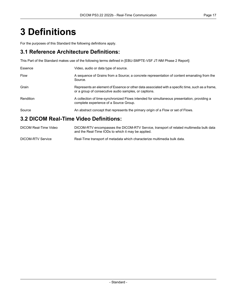## <span id="page-16-0"></span>**3 Definitions**

For the purposes of this Standard the following definitions apply.

#### **3.1 Reference Architecture Definitions:**

This Part of the Standard makes use of the following terms defined in [\[EBU-SMPTE-VSF](#page-14-2) JT-NM Phase 2 Report]:

| Essence                                | Video, audio or data type of source.                                                                                                                      |  |  |  |
|----------------------------------------|-----------------------------------------------------------------------------------------------------------------------------------------------------------|--|--|--|
| <b>Flow</b>                            | A sequence of Grains from a Source; a concrete representation of content emanating from the<br>Source.                                                    |  |  |  |
| Grain                                  | Represents an element of Essence or other data associated with a specific time, such as a frame,<br>or a group of consecutive audio samples, or captions. |  |  |  |
| Rendition                              | A collection of time-synchronized Flows intended for simultaneous presentation, providing a<br>complete experience of a Source Group.                     |  |  |  |
| Source                                 | An abstract concept that represents the primary origin of a Flow or set of Flows.                                                                         |  |  |  |
| 3.2 DICOM Real-Time Video Definitions: |                                                                                                                                                           |  |  |  |

#### DICOM Real-Time Video DICOM-RTV encompasses the DICOM-RTV Service, transport of related multimedia bulk data and the Real-Time IODs to which it may be applied. DICOM-RTV Service Real-Time transport of metadata which characterize multimedia bulk data.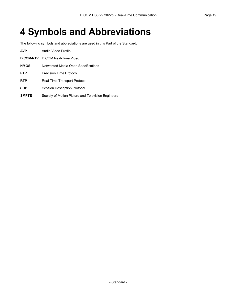# <span id="page-18-0"></span>**4 Symbols and Abbreviations**

The following symbols and abbreviations are used in this Part of the Standard.

| <b>AVP</b>   | Audio Video Profile                                |  |  |  |
|--------------|----------------------------------------------------|--|--|--|
| DICOM-RTV    | DICOM Real-Time Video                              |  |  |  |
| <b>NMOS</b>  | Networked Media Open Specifications                |  |  |  |
| <b>PTP</b>   | Precision Time Protocol                            |  |  |  |
| <b>RTP</b>   | Real-Time Transport Protocol                       |  |  |  |
| <b>SDP</b>   | <b>Session Description Protocol</b>                |  |  |  |
| <b>SMPTE</b> | Society of Motion Picture and Television Engineers |  |  |  |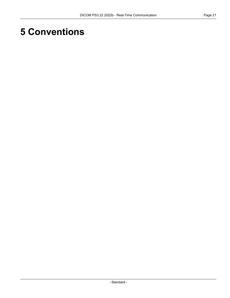### <span id="page-20-0"></span>**5 Conventions**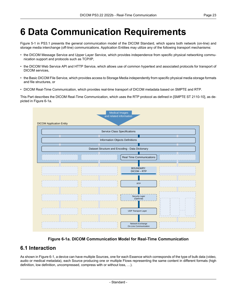# <span id="page-22-0"></span>**6 Data Communication Requirements**

[Figure](part01.pdf#figure_5-1) 5-1 in PS3.1 presents the general communication model of the DICOM Standard, which spans both network (on-line) and storage media interchange (off-line) communications. Application Entities may utilize any of the following transport mechanisms:

- the DICOM Message Service and Upper Layer Service, which provides independence from specific physical networking commu nication support and protocols such as TCP/IP,
- the DICOM Web Service API and HTTP Service, which allows use of common hypertext and associated protocols for transport of DICOM services,
- the Basic DICOM File Service, which provides access to Storage Media independently from specific physical media storage formats and file structures, or
- DICOM Real-Time Communication, which provides real-time transport of DICOM metadata based on SMPTE and RTP.

<span id="page-22-2"></span>This Part describes the DICOM Real-Time Communication, which uses the RTP protocol as defined in [SMPTE ST [2110-10\]](#page-14-3), as de picted in [Figure](#page-22-2) 6-1a.

| <b>Medical Images</b><br>and related information |                                           |  |  |  |  |  |  |  |
|--------------------------------------------------|-------------------------------------------|--|--|--|--|--|--|--|
| <b>DICOM Application Entity</b>                  |                                           |  |  |  |  |  |  |  |
| <b>Service Class Specifications</b>              |                                           |  |  |  |  |  |  |  |
|                                                  |                                           |  |  |  |  |  |  |  |
| Information Objects Definitions                  |                                           |  |  |  |  |  |  |  |
|                                                  |                                           |  |  |  |  |  |  |  |
| Dataset Structure and Encoding - Data Dictionary |                                           |  |  |  |  |  |  |  |
|                                                  | <b>Real Time Communications</b>           |  |  |  |  |  |  |  |
|                                                  | <b>BOUNDARY:</b><br>DICOM-RTP             |  |  |  |  |  |  |  |
|                                                  | <b>RTP</b>                                |  |  |  |  |  |  |  |
|                                                  | Security Layer<br>(Optional)<br>ъ.<br>ч.  |  |  |  |  |  |  |  |
|                                                  | <b>UDP Transport Layer</b><br>i L         |  |  |  |  |  |  |  |
|                                                  | Network Exchange<br>On-Line Communication |  |  |  |  |  |  |  |

**Figure 6-1a. DICOM Communication Model for Real-Time Communication**

### <span id="page-22-1"></span>**6.1 Interaction**

As shown in [Figure](#page-23-0) 6-1, a device can have multiple Sources, one for each Essence which corresponds of the type of bulk data (video, audio or medical metadata), each Source producing one or multiple Flows representing the same content in different formats (high definition, low definition, uncompressed, compress with or without loss, …).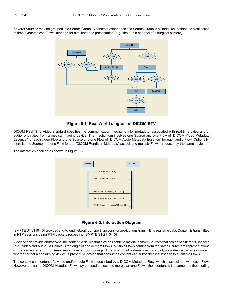<span id="page-23-0"></span>Several Sources may be grouped in a Source Group. A concrete experience of a Source Group is a Rendition, defined as a collection of time-synchronized Flows intended for simultaneous presentation (e.g., the audio channel of a surgical camera).



**Figure 6-1. Real World diagram of DICOM-RTV**

DICOM Real-Time Video standard specifies the communication mechanism for metadata, associated with real-time video and/or audio, originated from a medical imaging device. The mechanism involves one Source and one Flow of "DICOM Video Metadata Essence" for each video Flow and one Source and one Flow of "DICOM Audio Metadata Essence" for each audio Flow. Optionally, there is one Source and one Flow for the "DICOM Rendition Metadata" associating multiple Flows produced by the same device.

<span id="page-23-1"></span>The interaction shall be as shown in [Figure](#page-23-1) 6-2.



**Figure 6-2. Interaction Diagram**

[SMPTE ST [2110-10\]](#page-14-3) provides end-to-end network transport functions for applications transmitting real-time data. Content is transmitted in RTP sessions using RTP packets respecting [SMPTE ST [2110-10\].](#page-14-3)

A device can provide and/or consume content. A device that provides content has one or more Sources that can be of different Essences (e.g., Video and Audio). A Source is the origin of one or more Flows. Multiple Flows coming from the same Source are representations of the same content in different resolutions and/or codings. This is a broadcast/multicast protocol, so a device provides content whether or not a consuming device is present. A device that consumes content can subscribe/unsubscribe to available Flows.

The context and content of a video and/or audio Flow is described by a DICOM Metadata Flow, which is associated with each Flow. However the same DICOM Metadata Flow may be used to describe more than one Flow if their content is the same and their coding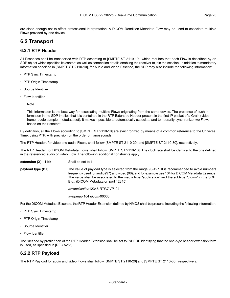<span id="page-24-0"></span>are close enough not to affect professional interpretation. A DICOM Rendition Metadata Flow may be used to associate multiple Flows provided by one device.

#### <span id="page-24-1"></span>**6.2 Transport**

#### **6.2.1 RTP Header**

All Essences shall be transported with RTP according to [SMPTE ST [2110-10\],](#page-14-3) which requires that each Flow is described by an SDP object which specifies its content as well as connection details enabling the receiver to join the session. In addition to mandatory information specified in [SMPTE ST [2110-10\],](#page-14-3) for Audio and Video Essence, the SDP may also include the following information:

- PTP Sync Timestamp
- PTP Origin Timestamp
- Source Identifier
- Flow Identifier

Note

This information is the best way for associating multiple Flows originating from the same device. The presence of such in formation in the SDP implies that it is contained in the RTP Extended Header present in the first IP packet of a Grain (video frame, audio sample, metadata set). It makes it possible to automatically associate and temporarily synchronize two Flows based on their content.

By definition, all the Flows according to [SMPTE ST [2110-10\]](#page-14-3) are synchronized by means of a common reference to the Universal Time, using PTP, with precision on the order of nanoseconds.

The RTP Header, for video and audio Flows, shall follow [SMPTE ST [2110-20\]](#page-14-4) and [SMPTE ST [2110-30\],](#page-14-5) respectively.

The RTP Header, for DICOM Metadata Flows, shall follow [SMPTE ST [2110-10\].](#page-14-3) The clock rate shall be identical to the one defined in the referenced audio or video Flow. The following additional constraints apply:

**extension (X) : 1 bit** Shall be set to 1.

**payload type (PT)** The value of payload type is selected from the range 96-127. It is recommended to avoid numbers frequently used for audio (97) and video (96), and for example use 104 for DICOM Metadata Essence. The value shall be associated to the media type "application" and the subtype "dicom" in the SDP. E.g., (DICOM Metadata on port 12345):

*m=application*12345 *RTP/AVP*104

*a=rtpmap:*104 *dicom/*90000

For the DICOM Metadata Essence, the RTP Header Extension defined by NMOS shall be present, including the following information:

- PTP Sync Timestamp
- PTP Origin Timestamp
- <span id="page-24-2"></span>• Source Identifier
- Flow Identifier

The "defined by profile" part of the RTP Header Extension shall be set to 0xBEDE identifying that the one-byte header extension form is used, as specified in [RFC [5285\].](#page-14-6)

#### **6.2.2 RTP Payload**

The RTP Payload for audio and video Flows shall follow [SMPTE ST [2110-20\]](#page-14-4) and [SMPTE ST [2110-30\],](#page-14-5) respectively.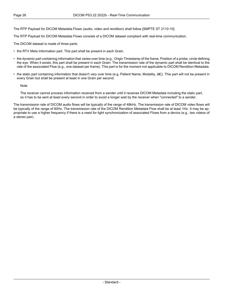The RTP Payload for DICOM Metadata Flows (audio, video and rendition) shall follow [SMPTE ST [2110-10\]](#page-14-3).

The RTP Payload for DICOM Metadata Flows consists of a DICOM dataset compliant with real-time communication.

The DICOM dataset is made of three parts:

- the RTV Meta Information part. This part shall be present in each Grain.
- the dynamic part containing information that varies over time (e.g., Origin Timestamp of the frame, Position of a probe, circle defining the eye. When it exists, this part shall be present in each Grain. The transmission rate of the dynamic part shall be identical to the rate of the associated Flow (e.g., one dataset per frame). This part is for the moment not applicable to DICOM Rendition Metadata.
- the static part containing information that doesn't vary over time (e.g. Patient Name, Modality,  $\hat{a}\epsilon$ ). This part will not be present in every Grain but shall be present at least in one Grain per second.

**Note** 

The receiver cannot process information received from a sender until it receives DICOM Metadata including the static part, so it has to be sent at least every second in order to avoid a longer wait by the receiver when "connected" to a sender.

The transmission rate of DICOM audio flows will be typically of the range of 48kHz. The transmission rate of DICOM video flows will be typically of the range of 60Hz. The transmission rate of the DICOM Rendition Metadata Flow shall be at least 1Hz. It may be ap propriate to use a higher frequency if there is a need for tight synchronization of associated Flows from a device (e.g., two videos of a stereo pair).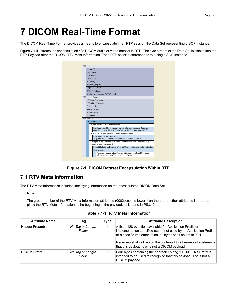## <span id="page-26-0"></span>**7 DICOM Real-Time Format**

The DICOM Real-Time Format provides a means to encapsulate in an RTP session the Data Set representing a SOP Instance.

<span id="page-26-2"></span>[Figure](#page-26-2) 7-1 illustrates the encapsulation of a DICOM audio or video dataset in RTP. The byte stream of the Data Set is placed into the RTP Payload after the DICOM-RTV Meta Information. Each RTP session corresponds to a single SOP Instance.

| RTP Header  |                       |                                                                                                                                                 |                                                                                                                            |  |  |  |  |  |
|-------------|-----------------------|-------------------------------------------------------------------------------------------------------------------------------------------------|----------------------------------------------------------------------------------------------------------------------------|--|--|--|--|--|
|             | Version (V)           |                                                                                                                                                 |                                                                                                                            |  |  |  |  |  |
|             | Padding (P)           |                                                                                                                                                 |                                                                                                                            |  |  |  |  |  |
|             | Extension (X)         |                                                                                                                                                 |                                                                                                                            |  |  |  |  |  |
|             |                       | CRSC (CC)                                                                                                                                       |                                                                                                                            |  |  |  |  |  |
|             | Marker (M)            |                                                                                                                                                 |                                                                                                                            |  |  |  |  |  |
|             |                       |                                                                                                                                                 | Payload Type (PT)                                                                                                          |  |  |  |  |  |
|             |                       |                                                                                                                                                 | Sequence Number                                                                                                            |  |  |  |  |  |
|             |                       |                                                                                                                                                 | (RTP) Timestamp                                                                                                            |  |  |  |  |  |
|             |                       |                                                                                                                                                 | Synchronization Source (SSRC) Identifier                                                                                   |  |  |  |  |  |
|             |                       |                                                                                                                                                 | RTP Header Extension                                                                                                       |  |  |  |  |  |
|             |                       |                                                                                                                                                 | PTP Sync Timestamp                                                                                                         |  |  |  |  |  |
|             |                       |                                                                                                                                                 | PTP Origin Timestamp                                                                                                       |  |  |  |  |  |
|             |                       | Flow Identifier                                                                                                                                 |                                                                                                                            |  |  |  |  |  |
|             | Source Identifier     |                                                                                                                                                 |                                                                                                                            |  |  |  |  |  |
|             | <b>Grain Duration</b> |                                                                                                                                                 |                                                                                                                            |  |  |  |  |  |
|             | <b>Grain Flags</b>    |                                                                                                                                                 |                                                                                                                            |  |  |  |  |  |
| RTP Payload |                       |                                                                                                                                                 |                                                                                                                            |  |  |  |  |  |
|             | <b>DICOM</b> dataset  |                                                                                                                                                 |                                                                                                                            |  |  |  |  |  |
|             |                       |                                                                                                                                                 | Payload Header (RTV Meta Information)                                                                                      |  |  |  |  |  |
|             |                       | Fixed-size preamble for compatibility with other standards and Definition<br>of the header (e.g., Media RTV SOP Class UID, Transfer Syntax UID) |                                                                                                                            |  |  |  |  |  |
|             |                       | Dynamic part (Curent Frame Functional Groups Module)                                                                                            |                                                                                                                            |  |  |  |  |  |
|             |                       |                                                                                                                                                 | Parameters of the current frame<br>(e.g., Position of the ultrasound probe, circle definig the eye)                        |  |  |  |  |  |
|             |                       |                                                                                                                                                 | [Static part (Video xx Image / Waveform / Rendition Selection Document IOD)]<br>(present at least every second)            |  |  |  |  |  |
|             |                       |                                                                                                                                                 | Patient/Study/Series/Equipment/FrameOfReference/Synchronization Attributes                                                 |  |  |  |  |  |
|             |                       |                                                                                                                                                 | Flow Description                                                                                                           |  |  |  |  |  |
|             |                       |                                                                                                                                                 | Parameters shared with all frames: list of: source id/flow id (i.e., some<br>information of the SDP "translated" to DICOM) |  |  |  |  |  |

**Figure 7-1. DICOM Dataset Encapsulation Within RTP**

#### <span id="page-26-1"></span>**7.1 RTV Meta Information**

<span id="page-26-3"></span>The RTV Meta Information includes identifying information on the encapsulated DICOM Data Set.

Note

The group number of the RTV Meta Information attributes (0002,xxxx) is lower than the one of other attributes in order to place the RTV Meta Information at the beginning of the payload, as is done in [PS3.10.](part10.pdf#PS3.10)

**Table 7.1-1. RTV Meta Information**

| <b>Attribute Name</b> | Taq                               | Type | <b>Attribute Description</b>                                                                                                                                                                                                                                                                                                   |
|-----------------------|-----------------------------------|------|--------------------------------------------------------------------------------------------------------------------------------------------------------------------------------------------------------------------------------------------------------------------------------------------------------------------------------|
| Header Preamble       | No Tag or Length<br><b>Fields</b> |      | A fixed 128 byte field available for Application Profile or<br>implementation specified use. If not used by an Application Profile<br>or a specific implementation, all bytes shall be set to 00H.<br>Receivers shall not rely on the content of this Preamble to determine<br>that this payload is or is not a DICOM payload. |
| <b>DICOM Prefix</b>   | No Tag or Length<br>Fields        |      | Four bytes containing the character string "DICM". This Prefix is<br>intended to be used to recognize that this payload is or is not a<br>DICOM payload.                                                                                                                                                                       |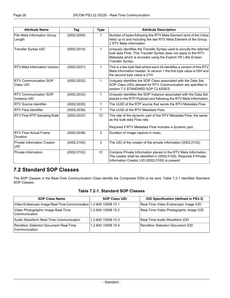| <b>Attribute Name</b>                            | Tag          | <b>Type</b>  | <b>Attribute Description</b>                                                                                                                                                                                               |  |
|--------------------------------------------------|--------------|--------------|----------------------------------------------------------------------------------------------------------------------------------------------------------------------------------------------------------------------------|--|
| File Meta Information Group<br>Length            | (0002, 0000) | 1            | Number of bytes following this RTV Meta Element (end of the Value<br>field) up to and including the last RTV Meta Element of the Group<br>2 RTV Meta Information                                                           |  |
| <b>Transfer Syntax UID</b>                       | (0002, 0010) | 1            | Uniquely identifies the Transfer Syntax used to encode the referred<br>bulk-data Flow. This Transfer Syntax does not apply to the RTV<br>Metadata which is encoded using the Explicit VR Little Endian<br>Transfer Syntax. |  |
| <b>RTV Meta Information Version</b>              | (0002, 0031) | $\mathbf{1}$ | This is a two byte field where each bit identifies a version of this RTV<br>Meta Information header. In version 1 the first byte value is 00H and<br>the second byte value is 01H.                                         |  |
| <b>RTV Communication SOP</b><br>Class UID        | (0002, 0032) | 1            | Uniquely identifies the SOP Class associated with the Data Set.<br>SOP Class UIDs allowed for RTV Communication are specified in<br>section 7.2 STANDARD SOP CLASSES.                                                      |  |
| <b>RTV Communication SOP</b><br>Instance UID     | (0002, 0033) | 1            | Uniquely identifies the SOP Instance associated with the Data Set<br>placed in the RTP Payload and following the RTV Meta Information.                                                                                     |  |
| <b>RTV Source Identifier</b>                     | (0002, 0035) | 1            | The UUID of the RTP source that sends the RTV Metadata Flow.                                                                                                                                                               |  |
| <b>RTV Flow Identifier</b>                       | (0002, 0036) | $\mathbf{1}$ | The UUID of the RTV Metadata Flow.                                                                                                                                                                                         |  |
| RTV Flow RTP Sampling Rate                       | (0002, 0037) | 1C           | The rate of the dynamic part of the RTV Metadata Flow, the same<br>as the bulk-data Flow rate.<br>Required if RTV Metadata Flow includes a dynamic part.                                                                   |  |
| <b>RTV Flow Actual Frame</b><br>Duration         | (0002, 0038) | 3            | Duration of image capture in msec.                                                                                                                                                                                         |  |
| <b>Private Information Creator</b><br><b>UID</b> | (0002, 0100) | $\mathbf{3}$ | The UID of the creator of the private information (0002,0102).                                                                                                                                                             |  |
| Private Information                              | (0002, 0102) | 1C           | Contains Private Information placed in the RTV Meta Information.<br>The creator shall be identified in (0002,0100). Required if Private<br>Information Creator UID (0002,0100) is present.                                 |  |

### <span id="page-27-1"></span><span id="page-27-0"></span>**7.2 Standard SOP Classes**

The SOP Classes in the Real-Time Communication Class identify the Composite IODs to be sent. [Table](#page-27-1) 7.2-1 identifies Standard SOP Classes.

#### **Table 7.2-1. Standard SOP Classes**

| <b>SOP Class Name</b>                                               | <b>SOP Class UID</b> | IOD Specification (defined in PS3.3)   |
|---------------------------------------------------------------------|----------------------|----------------------------------------|
| Video Endoscopic Image Real-Time Communication   1.2.840.10008.10.1 |                      | Real-Time Video Endoscopic Image IOD   |
| Video Photographic Image Real-Time<br>Communication                 | 1.2.840.10008.10.2   | Real-Time Video Photographic Image IOD |
| Audio Waveform Real-Time Communication                              | 1.2.840.10008.10.3   | Real-Time Audio Waveform IOD           |
| Rendition Selection Document Real-Time<br>l Communication           | 1.2.840.10008.10.4   | Rendition Selection Document IOD       |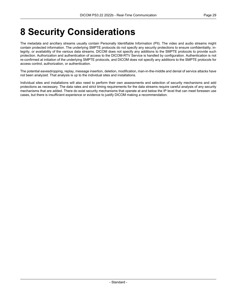## <span id="page-28-0"></span>**8 Security Considerations**

The metadata and ancillary streams usually contain Personally Identifiable Information (PII). The video and audio streams might contain protected information. The underlying SMPTE protocols do not specify any security protections to ensure confidentiality, in tegrity, or availability of the various data streams. DICOM does not specify any additions to the SMPTE protocols to provide such protection. Authorization and authentication of access to the DICOM-RTV Service is handled by configuration. Authentication is not re-confirmed at initiation of the underlying SMPTE protocols, and DICOM does not specify any additions to the SMPTE protocols for access control, authorization, or authentication.

The potential eavesdropping, replay, message insertion, deletion, modification, man-in-the-middle and denial of service attacks have not been analyzed. That analysis is up to the individual sites and installations.

Individual sites and installations will also need to perform their own assessments and selection of security mechanisms and add protections as necessary. The data rates and strict timing requirements for the data streams require careful analysis of any security mechanisms that are added. There do exist security mechanisms that operate at and below the IP level that can meet foreseen use cases, but there is insufficient experience or evidence to justify DICOM making a recommendation.